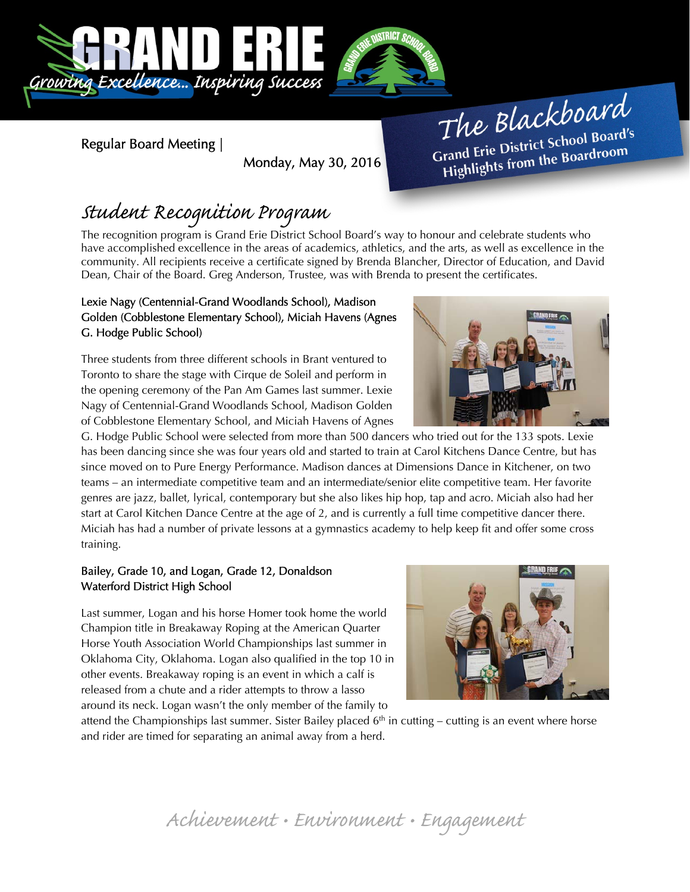

Regular Board Meeting |

Monday, May 30, 2016

The Blackboard The Burnor<br>Grand Erie District School Board's<br>Little from the Boardroom rand Erie District Schoor Beard<br>Highlights from the Boardroom

# Student Recognition Program

The recognition program is Grand Erie District School Board's way to honour and celebrate students who have accomplished excellence in the areas of academics, athletics, and the arts, as well as excellence in the community. All recipients receive a certificate signed by Brenda Blancher, Director of Education, and David Dean, Chair of the Board. Greg Anderson, Trustee, was with Brenda to present the certificates.

### Lexie Nagy (Centennial-Grand Woodlands School), Madison Golden (Cobblestone Elementary School), Miciah Havens (Agnes G. Hodge Public School)

Three students from three different schools in Brant ventured to Toronto to share the stage with Cirque de Soleil and perform in the opening ceremony of the Pan Am Games last summer. Lexie Nagy of Centennial-Grand Woodlands School, Madison Golden of Cobblestone Elementary School, and Miciah Havens of Agnes

G. Hodge Public School were selected from more than 500 dancers who tried out for the 133 spots. Lexie has been dancing since she was four years old and started to train at Carol Kitchens Dance Centre, but has since moved on to Pure Energy Performance. Madison dances at Dimensions Dance in Kitchener, on two teams – an intermediate competitive team and an intermediate/senior elite competitive team. Her favorite genres are jazz, ballet, lyrical, contemporary but she also likes hip hop, tap and acro. Miciah also had her start at Carol Kitchen Dance Centre at the age of 2, and is currently a full time competitive dancer there. Miciah has had a number of private lessons at a gymnastics academy to help keep fit and offer some cross training.

## Bailey, Grade 10, and Logan, Grade 12, Donaldson Waterford District High School

Last summer, Logan and his horse Homer took home the world Champion title in Breakaway Roping at the American Quarter Horse Youth Association World Championships last summer in Oklahoma City, Oklahoma. Logan also qualified in the top 10 in other events. Breakaway roping is an event in which a calf is released from a chute and a rider attempts to throw a lasso around its neck. Logan wasn't the only member of the family to



attend the Championships last summer. Sister Bailey placed  $6<sup>th</sup>$  in cutting – cutting is an event where horse and rider are timed for separating an animal away from a herd.

## Achievement • Environment • Engagement

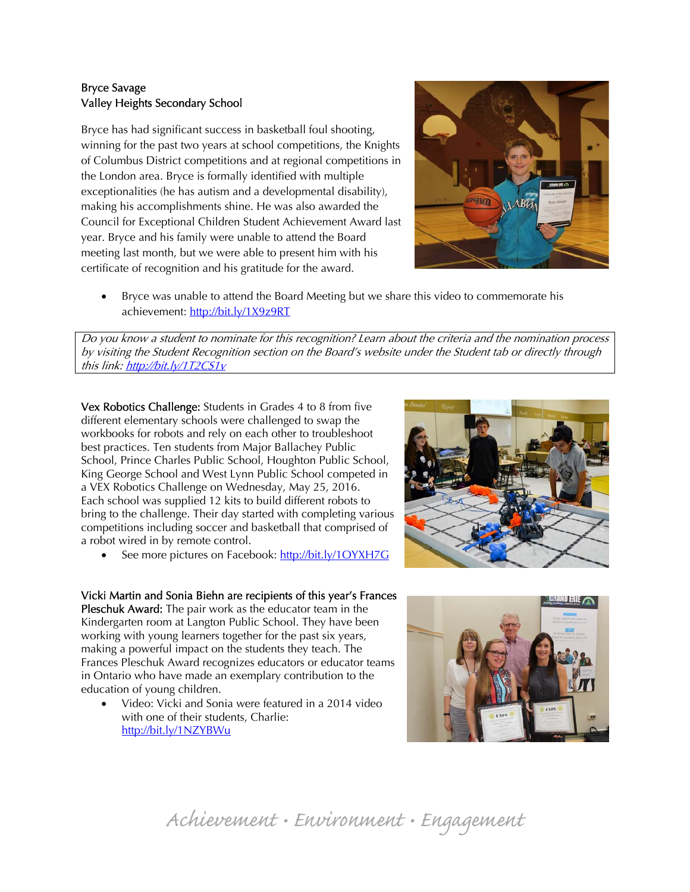## Bryce Savage Valley Heights Secondary School

Bryce has had significant success in basketball foul shooting, winning for the past two years at school competitions, the Knights of Columbus District competitions and at regional competitions in the London area. Bryce is formally identified with multiple exceptionalities (he has autism and a developmental disability), making his accomplishments shine. He was also awarded the Council for Exceptional Children Student Achievement Award last year. Bryce and his family were unable to attend the Board meeting last month, but we were able to present him with his certificate of recognition and his gratitude for the award.



 Bryce was unable to attend the Board Meeting but we share this video to commemorate his achievement: http://bit.ly/1X9z9RT

Do you know a student to nominate for this recognition? Learn about the criteria and the nomination process by visiting the Student Recognition section on the Board's website under the Student tab or directly through this link: http://bit.ly/1T2CS1v

Vex Robotics Challenge: Students in Grades 4 to 8 from five different elementary schools were challenged to swap the workbooks for robots and rely on each other to troubleshoot best practices. Ten students from Major Ballachey Public School, Prince Charles Public School, Houghton Public School, King George School and West Lynn Public School competed in a VEX Robotics Challenge on Wednesday, May 25, 2016. Each school was supplied 12 kits to build different robots to bring to the challenge. Their day started with completing various competitions including soccer and basketball that comprised of a robot wired in by remote control.

See more pictures on Facebook: http://bit.ly/1OYXH7G

Vicki Martin and Sonia Biehn are recipients of this year's Frances Pleschuk Award: The pair work as the educator team in the Kindergarten room at Langton Public School. They have been working with young learners together for the past six years, making a powerful impact on the students they teach. The Frances Pleschuk Award recognizes educators or educator teams in Ontario who have made an exemplary contribution to the education of young children.

 Video: Vicki and Sonia were featured in a 2014 video with one of their students, Charlie: http://bit.ly/1NZYBWu





Achievement • Environment • Engagement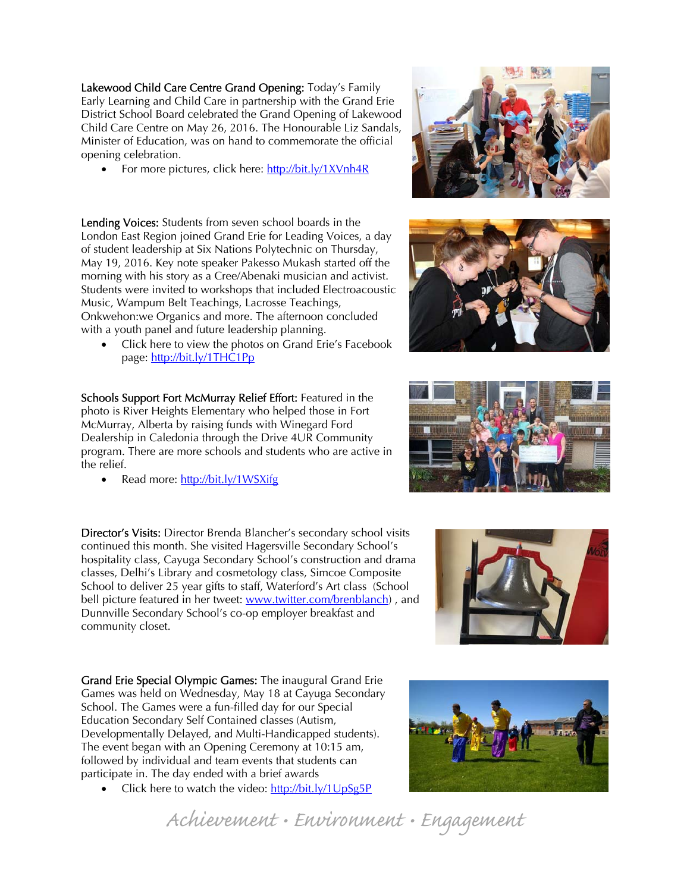Lakewood Child Care Centre Grand Opening: Today's Family Early Learning and Child Care in partnership with the Grand Erie District School Board celebrated the Grand Opening of Lakewood Child Care Centre on May 26, 2016. The Honourable Liz Sandals, Minister of Education, was on hand to commemorate the official opening celebration.

• For more pictures, click here: http://bit.ly/1XVnh4R

Lending Voices: Students from seven school boards in the London East Region joined Grand Erie for Leading Voices, a day of student leadership at Six Nations Polytechnic on Thursday, May 19, 2016. Key note speaker Pakesso Mukash started off the morning with his story as a Cree/Abenaki musician and activist. Students were invited to workshops that included Electroacoustic Music, Wampum Belt Teachings, Lacrosse Teachings, Onkwehon:we Organics and more. The afternoon concluded with a youth panel and future leadership planning.

• Click here to view the photos on Grand Erie's Facebook page: http://bit.ly/1THC1Pp

Schools Support Fort McMurray Relief Effort: Featured in the photo is River Heights Elementary who helped those in Fort McMurray, Alberta by raising funds with Winegard Ford Dealership in Caledonia through the Drive 4UR Community program. There are more schools and students who are active in the relief.

Read more: http://bit.ly/1WSXifg

Director's Visits: Director Brenda Blancher's secondary school visits continued this month. She visited Hagersville Secondary School's hospitality class, Cayuga Secondary School's construction and drama classes, Delhi's Library and cosmetology class, Simcoe Composite School to deliver 25 year gifts to staff, Waterford's Art class (School bell picture featured in her tweet: www.twitter.com/brenblanch), and Dunnville Secondary School's co-op employer breakfast and community closet.

Grand Erie Special Olympic Games: The inaugural Grand Erie Games was held on Wednesday, May 18 at Cayuga Secondary School. The Games were a fun-filled day for our Special Education Secondary Self Contained classes (Autism, Developmentally Delayed, and Multi-Handicapped students). The event began with an Opening Ceremony at 10:15 am, followed by individual and team events that students can participate in. The day ended with a brief awards

Click here to watch the video: http://bit.ly/1UpSg5P